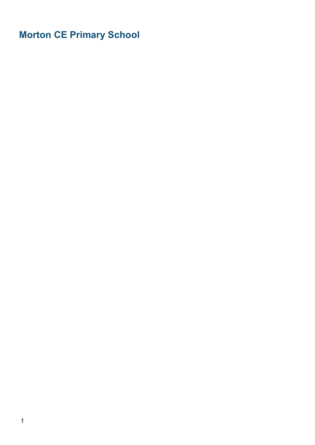Morton CE Primary School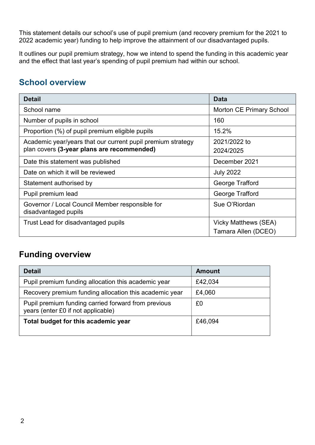This statement details our school's use of pupil premium (and recovery premium for the 2021 to 2022 academic year) funding to help improve the attainment of our disadvantaged pupils.

It outlines our pupil premium strategy, how we intend to spend the funding in this academic year and the effect that last year's spending of pupil premium had within our school.

## School overview

| <b>Detail</b>                                                                                             | <b>Data</b>                                 |
|-----------------------------------------------------------------------------------------------------------|---------------------------------------------|
| School name                                                                                               | <b>Morton CE Primary School</b>             |
| Number of pupils in school                                                                                | 160                                         |
| Proportion (%) of pupil premium eligible pupils                                                           | 15.2%                                       |
| Academic year/years that our current pupil premium strategy<br>plan covers (3-year plans are recommended) | 2021/2022 to<br>2024/2025                   |
| Date this statement was published                                                                         | December 2021                               |
| Date on which it will be reviewed                                                                         | <b>July 2022</b>                            |
| Statement authorised by                                                                                   | George Trafford                             |
| Pupil premium lead                                                                                        | George Trafford                             |
| Governor / Local Council Member responsible for<br>disadvantaged pupils                                   | Sue O'Riordan                               |
| Trust Lead for disadvantaged pupils                                                                       | Vicky Matthews (SEA)<br>Tamara Allen (DCEO) |

### Funding overview

| <b>Detail</b>                                                                             | <b>Amount</b> |
|-------------------------------------------------------------------------------------------|---------------|
| Pupil premium funding allocation this academic year                                       | £42,034       |
| Recovery premium funding allocation this academic year                                    | £4,060        |
| Pupil premium funding carried forward from previous<br>years (enter £0 if not applicable) | £0            |
| Total budget for this academic year                                                       | £46,094       |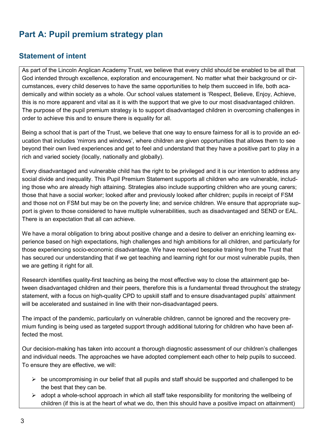# Part A: Pupil premium strategy plan

### Statement of intent

As part of the Lincoln Anglican Academy Trust, we believe that every child should be enabled to be all that God intended through excellence, exploration and encouragement. No matter what their background or circumstances, every child deserves to have the same opportunities to help them succeed in life, both academically and within society as a whole. Our school values statement is 'Respect, Believe, Enjoy, Achieve, this is no more apparent and vital as it is with the support that we give to our most disadvantaged children. The purpose of the pupil premium strategy is to support disadvantaged children in overcoming challenges in order to achieve this and to ensure there is equality for all.

Being a school that is part of the Trust, we believe that one way to ensure fairness for all is to provide an education that includes 'mirrors and windows', where children are given opportunities that allows them to see beyond their own lived experiences and get to feel and understand that they have a positive part to play in a rich and varied society (locally, nationally and globally).

Every disadvantaged and vulnerable child has the right to be privileged and it is our intention to address any social divide and inequality. This Pupil Premium Statement supports all children who are vulnerable, including those who are already high attaining. Strategies also include supporting children who are young carers; those that have a social worker; looked after and previously looked after children; pupils in receipt of FSM and those not on FSM but may be on the poverty line; and service children. We ensure that appropriate support is given to those considered to have multiple vulnerabilities, such as disadvantaged and SEND or EAL. There is an expectation that all can achieve.

We have a moral obligation to bring about positive change and a desire to deliver an enriching learning experience based on high expectations, high challenges and high ambitions for all children, and particularly for those experiencing socio-economic disadvantage. We have received bespoke training from the Trust that has secured our understanding that if we get teaching and learning right for our most vulnerable pupils, then we are getting it right for all.

Research identifies quality-first teaching as being the most effective way to close the attainment gap between disadvantaged children and their peers, therefore this is a fundamental thread throughout the strategy statement, with a focus on high-quality CPD to upskill staff and to ensure disadvantaged pupils' attainment will be accelerated and sustained in line with their non-disadvantaged peers.

The impact of the pandemic, particularly on vulnerable children, cannot be ignored and the recovery premium funding is being used as targeted support through additional tutoring for children who have been affected the most.

Our decision-making has taken into account a thorough diagnostic assessment of our children's challenges and individual needs. The approaches we have adopted complement each other to help pupils to succeed. To ensure they are effective, we will:

- $\triangleright$  be uncompromising in our belief that all pupils and staff should be supported and challenged to be the best that they can be.
- $\triangleright$  adopt a whole-school approach in which all staff take responsibility for monitoring the wellbeing of children (if this is at the heart of what we do, then this should have a positive impact on attainment)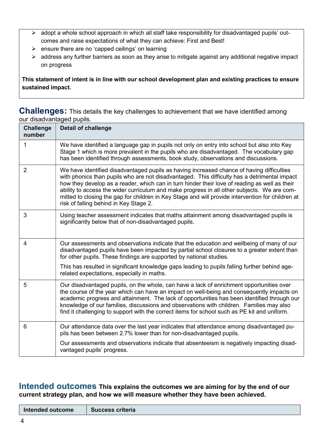- $\triangleright$  adopt a whole school approach in which all staff take responsibility for disadvantaged pupils' outcomes and raise expectations of what they can achieve: First and Best!
- $\triangleright$  ensure there are no 'capped ceilings' on learning
- $\triangleright$  address any further barriers as soon as they arise to mitigate against any additional negative impact on progress

This statement of intent is in line with our school development plan and existing practices to ensure sustained impact.

#### **Challenges:** This details the key challenges to achievement that we have identified among our disadvantaged pupils.

| <b>Challenge</b><br>number | <b>Detail of challenge</b>                                                                                                                                                                                                                                                                                                                                                                                                                                                                                                               |
|----------------------------|------------------------------------------------------------------------------------------------------------------------------------------------------------------------------------------------------------------------------------------------------------------------------------------------------------------------------------------------------------------------------------------------------------------------------------------------------------------------------------------------------------------------------------------|
| 1                          | We have identified a language gap in pupils not only on entry into school but also into Key<br>Stage 1 which is more prevalent in the pupils who are disadvantaged. The vocabulary gap<br>has been identified through assessments, book study, observations and discussions.                                                                                                                                                                                                                                                             |
| $\overline{2}$             | We have identified disadvantaged pupils as having increased chance of having difficulties<br>with phonics than pupils who are not disadvantaged. This difficulty has a detrimental impact<br>how they develop as a reader, which can in turn hinder their love of reading as well as their<br>ability to access the wider curriculum and make progress in all other subjects. We are com-<br>mitted to closing the gap for children in Key Stage and will provide intervention for children at<br>risk of falling behind in Key Stage 2. |
| 3                          | Using teacher assessment indicates that maths attainment among disadvantaged pupils is<br>significantly below that of non-disadvantaged pupils.                                                                                                                                                                                                                                                                                                                                                                                          |
| 4                          | Our assessments and observations indicate that the education and wellbeing of many of our<br>disadvantaged pupils have been impacted by partial school closures to a greater extent than<br>for other pupils. These findings are supported by national studies.                                                                                                                                                                                                                                                                          |
|                            | This has resulted in significant knowledge gaps leading to pupils falling further behind age-<br>related expectations, especially in maths.                                                                                                                                                                                                                                                                                                                                                                                              |
| 5                          | Our disadvantaged pupils, on the whole, can have a lack of enrichment opportunities over<br>the course of the year which can have an impact on well-being and consequently impacts on<br>academic progress and attainment. The lack of opportunities has been identified through our<br>knowledge of our families, discussions and observations with children. Families may also<br>find it challenging to support with the correct items for school such as PE kit and uniform.                                                         |
| 6                          | Our attendance data over the last year indicates that attendance among disadvantaged pu-<br>pils has been between 2.7% lower than for non-disadvantaged pupils.                                                                                                                                                                                                                                                                                                                                                                          |
|                            | Our assessments and observations indicate that absenteeism is negatively impacting disad-<br>vantaged pupils' progress.                                                                                                                                                                                                                                                                                                                                                                                                                  |

Intended outcomes This explains the outcomes we are aiming for by the end of our current strategy plan, and how we will measure whether they have been achieved.

Intended outcome Success criteria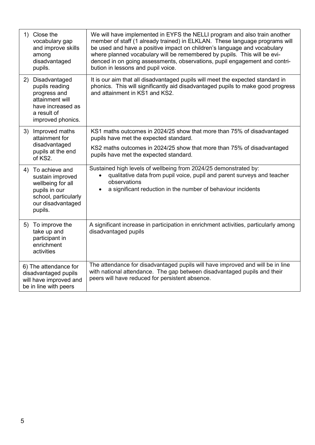| 1) | Close the<br>vocabulary gap<br>and improve skills<br>among<br>disadvantaged<br>pupils.                                           | We will have implemented in EYFS the NELLI program and also train another<br>member of staff (1 already trained) in ELKLAN. These language programs will<br>be used and have a positive impact on children's language and vocabulary<br>where planned vocabulary will be remembered by pupils. This will be evi-<br>denced in on going assessments, observations, pupil engagement and contri-<br>bution in lessons and pupil voice. |
|----|----------------------------------------------------------------------------------------------------------------------------------|--------------------------------------------------------------------------------------------------------------------------------------------------------------------------------------------------------------------------------------------------------------------------------------------------------------------------------------------------------------------------------------------------------------------------------------|
|    | 2) Disadvantaged<br>pupils reading<br>progress and<br>attainment will<br>have increased as<br>a result of<br>improved phonics.   | It is our aim that all disadvantaged pupils will meet the expected standard in<br>phonics. This will significantly aid disadvantaged pupils to make good progress<br>and attainment in KS1 and KS2.                                                                                                                                                                                                                                  |
| 3) | Improved maths<br>attainment for<br>disadvantaged<br>pupils at the end<br>of KS2.                                                | KS1 maths outcomes in 2024/25 show that more than 75% of disadvantaged<br>pupils have met the expected standard.<br>KS2 maths outcomes in 2024/25 show that more than 75% of disadvantaged<br>pupils have met the expected standard.                                                                                                                                                                                                 |
| 4) | To achieve and<br>sustain improved<br>wellbeing for all<br>pupils in our<br>school, particularly<br>our disadvantaged<br>pupils. | Sustained high levels of wellbeing from 2024/25 demonstrated by:<br>qualitative data from pupil voice, pupil and parent surveys and teacher<br>observations<br>a significant reduction in the number of behaviour incidents                                                                                                                                                                                                          |
|    | 5) To improve the<br>take up and<br>participant in<br>enrichment<br>activities                                                   | A significant increase in participation in enrichment activities, particularly among<br>disadvantaged pupils                                                                                                                                                                                                                                                                                                                         |
|    | 6) The attendance for<br>disadvantaged pupils<br>will have improved and<br>be in line with peers                                 | The attendance for disadvantaged pupils will have improved and will be in line<br>with national attendance. The gap between disadvantaged pupils and their<br>peers will have reduced for persistent absence.                                                                                                                                                                                                                        |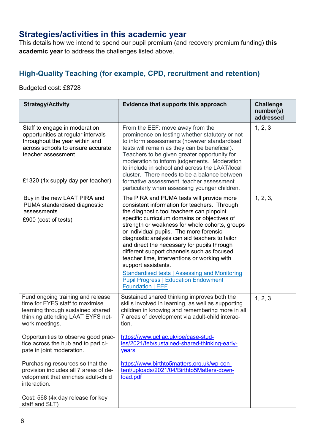## Strategies/activities in this academic year

This details how we intend to spend our pupil premium (and recovery premium funding) this academic year to address the challenges listed above.

### High-Quality Teaching (for example, CPD, recruitment and retention)

Budgeted cost: £8728

| <b>Strategy/Activity</b>                                                                                                                                                                                                                                                    | Evidence that supports this approach                                                                                                                                                                                                                                                                                                                                                                                                                                                                                                                                                                                                       | <b>Challenge</b><br>number(s)<br>addressed |
|-----------------------------------------------------------------------------------------------------------------------------------------------------------------------------------------------------------------------------------------------------------------------------|--------------------------------------------------------------------------------------------------------------------------------------------------------------------------------------------------------------------------------------------------------------------------------------------------------------------------------------------------------------------------------------------------------------------------------------------------------------------------------------------------------------------------------------------------------------------------------------------------------------------------------------------|--------------------------------------------|
| Staff to engage in moderation<br>opportunities at regular intervals<br>throughout the year within and<br>across schools to ensure accurate<br>teacher assessment.<br>£1320 (1x supply day per teacher)                                                                      | From the EEF: move away from the<br>prominence on testing whether statutory or not<br>to inform assessments (however standardised<br>tests will remain as they can be beneficial).<br>Teachers to be given greater opportunity for<br>moderation to inform judgements. Moderation<br>to include in school and across the LAAT/local<br>cluster. There needs to be a balance between<br>formative assessment, teacher assessment<br>particularly when assessing younger children.                                                                                                                                                           | 1, 2, 3                                    |
| Buy in the new LAAT PIRA and<br>PUMA standardised diagnostic<br>assessments.<br>£900 (cost of tests)                                                                                                                                                                        | The PIRA and PUMA tests will provide more<br>consistent information for teachers. Through<br>the diagnostic tool teachers can pinpoint<br>specific curriculum domains or objectives of<br>strength or weakness for whole cohorts, groups<br>or individual pupils. The more forensic<br>diagnostic analysis can aid teachers to tailor<br>and direct the necessary for pupils through<br>different support channels such as focused<br>teacher time, interventions or working with<br>support assistants.<br><b>Standardised tests   Assessing and Monitoring</b><br><b>Pupil Progress   Education Endowment</b><br><b>Foundation   EEF</b> | 1, 2, 3,                                   |
| Fund ongoing training and release<br>time for EYFS staff to maximise<br>learning through sustained shared<br>thinking attending LAAT EYFS net-<br>work meetings.<br>Opportunities to observe good prac-<br>tice across the hub and to partici-<br>pate in joint moderation. | Sustained shared thinking improves both the<br>skills involved in learning, as well as supporting<br>children in knowing and remembering more in all<br>7 areas of development via adult-child interac-<br>tion.<br>https://www.ucl.ac.uk/ioe/case-stud-<br>ies/2021/feb/sustained-shared-thinking-early-                                                                                                                                                                                                                                                                                                                                  | 1, 2, 3                                    |
| Purchasing resources so that the<br>provision includes all 7 areas of de-<br>velopment that enriches adult-child<br>interaction.<br>Cost: 568 (4x day release for key<br>staff and SLT)                                                                                     | years<br>https://www.birthto5matters.org.uk/wp-con-<br>tent/uploads/2021/04/Birthto5Matters-down-<br>load.pdf                                                                                                                                                                                                                                                                                                                                                                                                                                                                                                                              |                                            |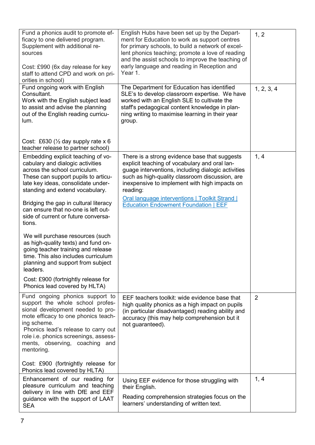| Fund a phonics audit to promote ef-<br>ficacy to one delivered program.<br>Supplement with additional re-<br>sources<br>Cost: £990 (6x day release for key<br>staff to attend CPD and work on pri-<br>orities in school)                                                                                                                                                                       | English Hubs have been set up by the Depart-<br>ment for Education to work as support centres<br>for primary schools, to build a network of excel-<br>lent phonics teaching; promote a love of reading<br>and the assist schools to improve the teaching of<br>early language and reading in Reception and<br>Year 1.                                                       | 1, 2           |
|------------------------------------------------------------------------------------------------------------------------------------------------------------------------------------------------------------------------------------------------------------------------------------------------------------------------------------------------------------------------------------------------|-----------------------------------------------------------------------------------------------------------------------------------------------------------------------------------------------------------------------------------------------------------------------------------------------------------------------------------------------------------------------------|----------------|
| Fund ongoing work with English<br>Consultant.<br>Work with the English subject lead<br>to assist and advise the planning<br>out of the English reading curricu-<br>lum.<br>Cost: £630 ( $\frac{1}{2}$ day supply rate x 6                                                                                                                                                                      | The Department for Education has identified<br>SLE's to develop classroom expertise. We have<br>worked with an English SLE to cultivate the<br>staff's pedagogical content knowledge in plan-<br>ning writing to maximise learning in their year<br>group.                                                                                                                  | 1, 2, 3, 4     |
| teacher release to partner school)<br>Embedding explicit teaching of vo-<br>cabulary and dialogic activities<br>across the school curriculum.<br>These can support pupils to articu-<br>late key ideas, consolidate under-<br>standing and extend vocabulary.<br>Bridging the gap in cultural literacy<br>can ensure that no-one is left out-<br>side of current or future conversa-<br>tions. | There is a strong evidence base that suggests<br>explicit teaching of vocabulary and oral lan-<br>guage interventions, including dialogic activities<br>such as high-quality classroom discussion, are<br>inexpensive to implement with high impacts on<br>reading:<br><b>Oral language interventions   Toolkit Strand  </b><br><b>Education Endowment Foundation   EEF</b> | 1, 4           |
| We will purchase resources (such<br>as high-quality texts) and fund on-<br>going teacher training and release<br>time. This also includes curriculum<br>planning and support from subject<br>leaders.<br>Cost: £900 (fortnightly release for<br>Phonics lead covered by HLTA)                                                                                                                  |                                                                                                                                                                                                                                                                                                                                                                             |                |
| Fund ongoing phonics support to<br>support the whole school profes-<br>sional development needed to pro-<br>mote efficacy to one phonics teach-<br>ing scheme.<br>Phonics lead's release to carry out<br>role i.e. phonics screenings, assess-<br>ments, observing, coaching and<br>mentoring.                                                                                                 | EEF teachers toolkit: wide evidence base that<br>high quality phonics as a high impact on pupils<br>(in particular disadvantaged) reading ability and<br>accuracy (this may help comprehension but it<br>not guaranteed).                                                                                                                                                   | $\overline{2}$ |
| Cost: £900 (fortnightly release for<br>Phonics lead covered by HLTA)                                                                                                                                                                                                                                                                                                                           |                                                                                                                                                                                                                                                                                                                                                                             |                |
| Enhancement of our reading for<br>pleasure curriculum and teaching<br>delivery in line with DfE and EEF<br>guidance with the support of LAAT<br><b>SEA</b>                                                                                                                                                                                                                                     | Using EEF evidence for those struggling with<br>their English.<br>Reading comprehension strategies focus on the<br>learners' understanding of written text.                                                                                                                                                                                                                 | 1, 4           |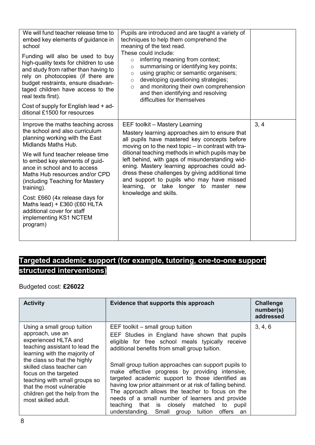| We will fund teacher release time to<br>embed key elements of guidance in<br>school<br>Funding will also be used to buy<br>high-quality texts for children to use<br>and study from rather than having to<br>rely on photocopies (if there are<br>budget restraints, ensure disadvan-<br>taged children have access to the<br>real texts first).<br>Cost of supply for English lead + ad-<br>ditional £1500 for resources                                     | Pupils are introduced and are taught a variety of<br>techniques to help them comprehend the<br>meaning of the text read.<br>These could include:<br>inferring meaning from context;<br>$\circ$<br>summarising or identifying key points;<br>$\circ$<br>using graphic or semantic organisers;<br>$\circ$<br>developing questioning strategies;<br>$\circ$<br>and monitoring their own comprehension<br>$\circ$<br>and then identifying and resolving<br>difficulties for themselves                                    |      |
|---------------------------------------------------------------------------------------------------------------------------------------------------------------------------------------------------------------------------------------------------------------------------------------------------------------------------------------------------------------------------------------------------------------------------------------------------------------|-----------------------------------------------------------------------------------------------------------------------------------------------------------------------------------------------------------------------------------------------------------------------------------------------------------------------------------------------------------------------------------------------------------------------------------------------------------------------------------------------------------------------|------|
| Improve the maths teaching across<br>the school and also curriculum<br>planning working with the East<br>Midlands Maths Hub.<br>We will fund teacher release time<br>to embed key elements of guid-<br>ance in school and to access<br>Maths Hub resources and/or CPD<br>(including Teaching for Mastery<br>training).<br>Cost: £660 (4x release days for<br>Maths lead) + £360 (£60 HLTA<br>additional cover for staff<br>implementing KS1 NCTEM<br>program) | EEF toolkit - Mastery Learning<br>Mastery learning approaches aim to ensure that<br>all pupils have mastered key concepts before<br>moving on to the next topic – in contrast with tra-<br>ditional teaching methods in which pupils may be<br>left behind, with gaps of misunderstanding wid-<br>ening. Mastery learning approaches could ad-<br>dress these challenges by giving additional time<br>and support to pupils who may have missed<br>learning, or take longer to master<br>new<br>knowledge and skills. | 3, 4 |

## Targeted academic support (for example, tutoring, one-to-one support structured interventions)

Budgeted cost: £26022

| <b>Activity</b>                                                                                                                                                                                                                                                                                                                                        | Evidence that supports this approach                                                                                                                                                                                                                                                                                                                                                                                                                                                                                                                                                                                         | <b>Challenge</b><br>number(s)<br>addressed |
|--------------------------------------------------------------------------------------------------------------------------------------------------------------------------------------------------------------------------------------------------------------------------------------------------------------------------------------------------------|------------------------------------------------------------------------------------------------------------------------------------------------------------------------------------------------------------------------------------------------------------------------------------------------------------------------------------------------------------------------------------------------------------------------------------------------------------------------------------------------------------------------------------------------------------------------------------------------------------------------------|--------------------------------------------|
| Using a small group tuition<br>approach, use an<br>experienced HLTA and<br>teaching assistant to lead the<br>learning with the majority of<br>the class so that the highly<br>skilled class teacher can<br>focus on the targeted<br>teaching with small groups so<br>that the most vulnerable<br>children get the help from the<br>most skilled adult. | EEF toolkit – small group tuition<br>EEF Studies in England have shown that pupils<br>eligible for free school meals typically receive<br>additional benefits from small group tuition.<br>Small group tuition approaches can support pupils to<br>make effective progress by providing intensive,<br>targeted academic support to those identified as<br>having low prior attainment or at risk of falling behind.<br>The approach allows the teacher to focus on the<br>needs of a small number of learners and provide<br>teaching that is closely matched<br>to<br>pupil<br>understanding. Small group tuition offers an | 3, 4, 6                                    |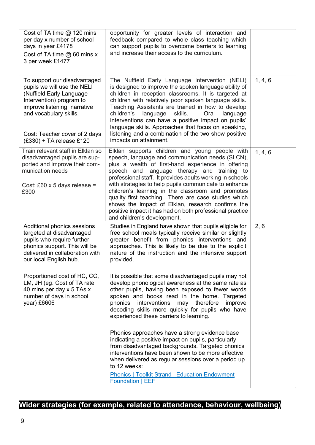| Cost of TA time $@$ 120 mins<br>per day x number of school<br>days in year £4178<br>Cost of TA time @ 60 mins x<br>3 per week £1477                                                                                                                                                                                         | opportunity for greater levels of interaction and<br>feedback compared to whole class teaching which<br>can support pupils to overcome barriers to learning<br>and increase their access to the curriculum.                                                                                                                                                                                                                                                                                                                                                                                                                                                                                                                                                                                                                                                                                                                                                                                                                                             |         |
|-----------------------------------------------------------------------------------------------------------------------------------------------------------------------------------------------------------------------------------------------------------------------------------------------------------------------------|---------------------------------------------------------------------------------------------------------------------------------------------------------------------------------------------------------------------------------------------------------------------------------------------------------------------------------------------------------------------------------------------------------------------------------------------------------------------------------------------------------------------------------------------------------------------------------------------------------------------------------------------------------------------------------------------------------------------------------------------------------------------------------------------------------------------------------------------------------------------------------------------------------------------------------------------------------------------------------------------------------------------------------------------------------|---------|
| To support our disadvantaged<br>pupils we will use the NELI<br>(Nuffield Early Language<br>Intervention) program to<br>improve listening, narrative<br>and vocabulary skills.<br>Cost: Teacher cover of 2 days<br>$(£330) + TA$ release £120                                                                                | The Nuffield Early Language Intervention (NELI)<br>is designed to improve the spoken language ability of<br>children in reception classrooms. It is targeted at<br>children with relatively poor spoken language skills.<br>Teaching Assistants are trained in how to develop<br>children's<br>language<br>skills.<br>language<br>Oral<br>interventions can have a positive impact on pupils'<br>language skills. Approaches that focus on speaking,<br>listening and a combination of the two show positive<br>impacts on attainment.                                                                                                                                                                                                                                                                                                                                                                                                                                                                                                                  | 1, 4, 6 |
| Train relevant staff in Elklan so<br>disadvantaged pupils are sup-<br>ported and improve their com-<br>munication needs<br>Cost: £60 x 5 days release =<br>£300                                                                                                                                                             | Elklan supports children and young people with<br>speech, language and communication needs (SLCN),<br>plus a wealth of first-hand experience in offering<br>speech and language therapy and training to<br>professional staff. It provides adults working in schools<br>with strategies to help pupils communicate to enhance<br>children's learning in the classroom and promotes<br>quality first teaching. There are case studies which<br>shows the impact of Elklan, research confirms the<br>positive impact it has had on both professional practice<br>and children's development.                                                                                                                                                                                                                                                                                                                                                                                                                                                              | 1, 4, 6 |
| Additional phonics sessions<br>targeted at disadvantaged<br>pupils who require further<br>phonics support. This will be<br>delivered in collaboration with<br>our local English hub.<br>Proportioned cost of HC, CC,<br>LM, JH (eg. Cost of TA rate<br>40 mins per day x 5 TAs x<br>number of days in school<br>year) £6606 | Studies in England have shown that pupils eligible for<br>free school meals typically receive similar or slightly<br>greater benefit from phonics interventions and<br>approaches. This is likely to be due to the explicit<br>nature of the instruction and the intensive support<br>provided.<br>It is possible that some disadvantaged pupils may not<br>develop phonological awareness at the same rate as<br>other pupils, having been exposed to fewer words<br>spoken and books read in the home. Targeted<br>phonics<br>interventions<br>may therefore<br>improve<br>decoding skills more quickly for pupils who have<br>experienced these barriers to learning.<br>Phonics approaches have a strong evidence base<br>indicating a positive impact on pupils, particularly<br>from disadvantaged backgrounds. Targeted phonics<br>interventions have been shown to be more effective<br>when delivered as regular sessions over a period up<br>to 12 weeks:<br><b>Phonics   Toolkit Strand   Education Endowment</b><br><b>Foundation   EEF</b> | 2, 6    |

## Wider strategies (for example, related to attendance, behaviour, wellbeing)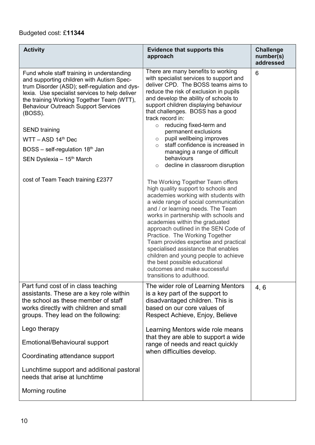### Budgeted cost: £11344

| <b>Activity</b>                                                                                                                                                                                                                                                                                                          | <b>Evidence that supports this</b><br>approach                                                                                                                                                                                                                                                                                                                                                                                                                                                                                                                          | <b>Challenge</b><br>number(s)<br>addressed |
|--------------------------------------------------------------------------------------------------------------------------------------------------------------------------------------------------------------------------------------------------------------------------------------------------------------------------|-------------------------------------------------------------------------------------------------------------------------------------------------------------------------------------------------------------------------------------------------------------------------------------------------------------------------------------------------------------------------------------------------------------------------------------------------------------------------------------------------------------------------------------------------------------------------|--------------------------------------------|
| Fund whole staff training in understanding<br>and supporting children with Autism Spec-<br>trum Disorder (ASD); self-regulation and dys-<br>lexia. Use specialist services to help deliver<br>the training Working Together Team (WTT),<br><b>Behaviour Outreach Support Services</b><br>(BOSS).<br><b>SEND</b> training | There are many benefits to working<br>with specialist services to support and<br>deliver CPD. The BOSS teams aims to<br>reduce the risk of exclusion in pupils<br>and develop the ability of schools to<br>support children displaying behaviour<br>that challenges. BOSS has a good<br>track record in:<br>$\circ$ reducing fixed-term and<br>permanent exclusions                                                                                                                                                                                                     | 6                                          |
| $WTT - ASD 14th Dec$                                                                                                                                                                                                                                                                                                     | $\circ$ pupil wellbeing improves<br>staff confidence is increased in<br>$\circ$                                                                                                                                                                                                                                                                                                                                                                                                                                                                                         |                                            |
| $BOSS - self-regulation 18th Jan$                                                                                                                                                                                                                                                                                        | managing a range of difficult                                                                                                                                                                                                                                                                                                                                                                                                                                                                                                                                           |                                            |
| SEN Dyslexia - 15 <sup>th</sup> March                                                                                                                                                                                                                                                                                    | behaviours<br>$\circ$ decline in classroom disruption                                                                                                                                                                                                                                                                                                                                                                                                                                                                                                                   |                                            |
| cost of Team Teach training £2377                                                                                                                                                                                                                                                                                        | The Working Together Team offers<br>high quality support to schools and<br>academies working with students with<br>a wide range of social communication<br>and / or learning needs. The Team<br>works in partnership with schools and<br>academies within the graduated<br>approach outlined in the SEN Code of<br>Practice. The Working Together<br>Team provides expertise and practical<br>specialised assistance that enables<br>children and young people to achieve<br>the best possible educational<br>outcomes and make successful<br>transitions to adulthood. |                                            |
| Part fund cost of in class teaching<br>assistants. These are a key role within<br>the school as these member of staff<br>works directly with children and small<br>groups. They lead on the following:                                                                                                                   | The wider role of Learning Mentors<br>is a key part of the support to<br>disadvantaged children. This is<br>based on our core values of<br>Respect Achieve, Enjoy, Believe                                                                                                                                                                                                                                                                                                                                                                                              | 4, 6                                       |
| Lego therapy                                                                                                                                                                                                                                                                                                             | Learning Mentors wide role means                                                                                                                                                                                                                                                                                                                                                                                                                                                                                                                                        |                                            |
| Emotional/Behavioural support                                                                                                                                                                                                                                                                                            | that they are able to support a wide<br>range of needs and react quickly                                                                                                                                                                                                                                                                                                                                                                                                                                                                                                |                                            |
| Coordinating attendance support                                                                                                                                                                                                                                                                                          | when difficulties develop.                                                                                                                                                                                                                                                                                                                                                                                                                                                                                                                                              |                                            |
| Lunchtime support and additional pastoral<br>needs that arise at lunchtime                                                                                                                                                                                                                                               |                                                                                                                                                                                                                                                                                                                                                                                                                                                                                                                                                                         |                                            |
| Morning routine                                                                                                                                                                                                                                                                                                          |                                                                                                                                                                                                                                                                                                                                                                                                                                                                                                                                                                         |                                            |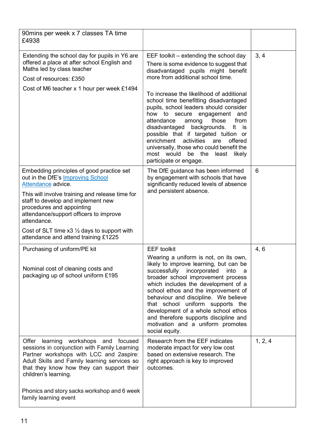| 90 mins per week x 7 classes TA time<br>£4938                                                                                                                                                                                                              |                                                                                                                                                                                                                                                                                                                                                                                                                                                |                |
|------------------------------------------------------------------------------------------------------------------------------------------------------------------------------------------------------------------------------------------------------------|------------------------------------------------------------------------------------------------------------------------------------------------------------------------------------------------------------------------------------------------------------------------------------------------------------------------------------------------------------------------------------------------------------------------------------------------|----------------|
| Extending the school day for pupils in Y6 are<br>offered a place at after school English and<br>Maths led by class teacher<br>Cost of resources: £350<br>Cost of M6 teacher x 1 hour per week £1494                                                        | EEF toolkit – extending the school day<br>There is some evidence to suggest that<br>disadvantaged pupils might benefit<br>more from additional school time.                                                                                                                                                                                                                                                                                    | 3, 4           |
|                                                                                                                                                                                                                                                            | To increase the likelihood of additional<br>school time benefitting disadvantaged<br>pupils, school leaders should consider<br>how to secure engagement and<br>attendance<br>among<br>those<br>from<br>disadvantaged backgrounds.<br>is is<br>It<br>possible that if targeted tuition or<br>enrichment activities are<br>offered<br>universally, those who could benefit the<br>most would<br>be the least<br>likely<br>participate or engage. |                |
| Embedding principles of good practice set<br>out in the DfE's Improving School<br>Attendance advice.                                                                                                                                                       | The DfE guidance has been informed<br>by engagement with schools that have<br>significantly reduced levels of absence                                                                                                                                                                                                                                                                                                                          | $6\phantom{1}$ |
| This will involve training and release time for<br>staff to develop and implement new<br>procedures and appointing<br>attendance/support officers to improve<br>attendance.                                                                                | and persistent absence.                                                                                                                                                                                                                                                                                                                                                                                                                        |                |
| Cost of SLT time $x3 \frac{1}{2}$ days to support with<br>attendance and attend training £1225                                                                                                                                                             |                                                                                                                                                                                                                                                                                                                                                                                                                                                |                |
| Purchasing of uniform/PE kit                                                                                                                                                                                                                               | <b>EEF</b> toolkit<br>Wearing a uniform is not, on its own,                                                                                                                                                                                                                                                                                                                                                                                    | 4, 6           |
| Nominal cost of cleaning costs and<br>packaging up of school uniform £195                                                                                                                                                                                  | likely to improve learning, but can be<br>successfully<br>incorporated<br>into<br>a<br>broader school improvement process<br>which includes the development of a<br>school ethos and the improvement of<br>behaviour and discipline. We believe<br>that school uniform supports the<br>development of a whole school ethos<br>and therefore supports discipline and<br>motivation and a uniform promotes<br>social equity.                     |                |
| learning workshops and<br>Offer<br>focused<br>sessions in conjunction with Family Learning<br>Partner workshops with LCC and 2aspire:<br>Adult Skills and Family learning services so<br>that they know how they can support their<br>children's learning. | Research from the EEF indicates<br>moderate impact for very low cost<br>based on extensive research. The<br>right approach is key to improved<br>outcomes.                                                                                                                                                                                                                                                                                     | 1, 2, 4        |
| Phonics and story sacks workshop and 6 week<br>family learning event                                                                                                                                                                                       |                                                                                                                                                                                                                                                                                                                                                                                                                                                |                |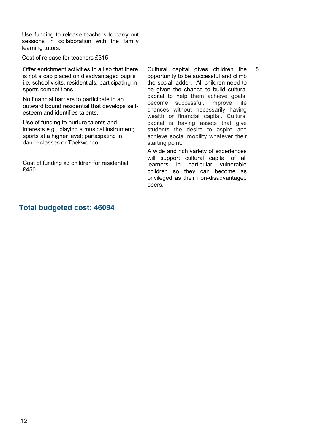| Use funding to release teachers to carry out<br>sessions in collaboration with the family<br>learning tutors.<br>Cost of release for teachers £315                            |                                                                                                                                                                                                             |   |
|-------------------------------------------------------------------------------------------------------------------------------------------------------------------------------|-------------------------------------------------------------------------------------------------------------------------------------------------------------------------------------------------------------|---|
| Offer enrichment activities to all so that there<br>is not a cap placed on disadvantaged pupils<br>i.e. school visits, residentials, participating in<br>sports competitions. | Cultural capital gives children the<br>opportunity to be successful and climb<br>the social ladder. All children need to<br>be given the chance to build cultural                                           | 5 |
| No financial barriers to participate in an<br>outward bound residential that develops self-<br>esteem and identifies talents.                                                 | capital to help them achieve goals,<br>become successful, improve life<br>chances without necessarily having<br>wealth or financial capital. Cultural                                                       |   |
| Use of funding to nurture talents and<br>interests e.g., playing a musical instrument;<br>sports at a higher level; participating in<br>dance classes or Taekwondo.           | capital is having assets that give<br>students the desire to aspire and<br>achieve social mobility whatever their<br>starting point.                                                                        |   |
| Cost of funding x3 children for residential<br>£450                                                                                                                           | A wide and rich variety of experiences<br>will support cultural capital of all<br>learners in<br>particular vulnerable<br>children so they can become as<br>privileged as their non-disadvantaged<br>peers. |   |

## Total budgeted cost: 46094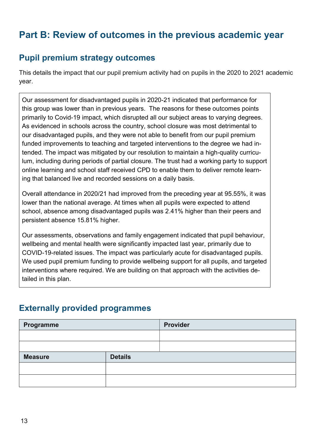# Part B: Review of outcomes in the previous academic year

## Pupil premium strategy outcomes

This details the impact that our pupil premium activity had on pupils in the 2020 to 2021 academic year.

Our assessment for disadvantaged pupils in 2020-21 indicated that performance for this group was lower than in previous years. The reasons for these outcomes points primarily to Covid-19 impact, which disrupted all our subject areas to varying degrees. As evidenced in schools across the country, school closure was most detrimental to our disadvantaged pupils, and they were not able to benefit from our pupil premium funded improvements to teaching and targeted interventions to the degree we had intended. The impact was mitigated by our resolution to maintain a high-quality curriculum, including during periods of partial closure. The trust had a working party to support online learning and school staff received CPD to enable them to deliver remote learning that balanced live and recorded sessions on a daily basis.

Overall attendance in 2020/21 had improved from the preceding year at 95.55%, it was lower than the national average. At times when all pupils were expected to attend school, absence among disadvantaged pupils was 2.41% higher than their peers and persistent absence 15.81% higher.

Our assessments, observations and family engagement indicated that pupil behaviour, wellbeing and mental health were significantly impacted last year, primarily due to COVID-19-related issues. The impact was particularly acute for disadvantaged pupils. We used pupil premium funding to provide wellbeing support for all pupils, and targeted interventions where required. We are building on that approach with the activities detailed in this plan.

## Externally provided programmes

| Programme      |                | Provider |
|----------------|----------------|----------|
|                |                |          |
|                |                |          |
| <b>Measure</b> | <b>Details</b> |          |
|                |                |          |
|                |                |          |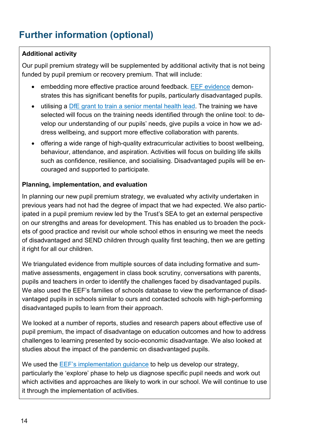# Further information (optional)

#### Additional activity

Our pupil premium strategy will be supplemented by additional activity that is not being funded by pupil premium or recovery premium. That will include:

- embedding more effective practice around feedback. EEF evidence demonstrates this has significant benefits for pupils, particularly disadvantaged pupils.
- utilising a DfE grant to train a senior mental health lead. The training we have selected will focus on the training needs identified through the online tool: to develop our understanding of our pupils' needs, give pupils a voice in how we address wellbeing, and support more effective collaboration with parents.
- offering a wide range of high-quality extracurricular activities to boost wellbeing, behaviour, attendance, and aspiration. Activities will focus on building life skills such as confidence, resilience, and socialising. Disadvantaged pupils will be encouraged and supported to participate.

#### Planning, implementation, and evaluation

In planning our new pupil premium strategy, we evaluated why activity undertaken in previous years had not had the degree of impact that we had expected. We also participated in a pupil premium review led by the Trust's SEA to get an external perspective on our strengths and areas for development. This has enabled us to broaden the pockets of good practice and revisit our whole school ethos in ensuring we meet the needs of disadvantaged and SEND children through quality first teaching, then we are getting it right for all our children.

We triangulated evidence from multiple sources of data including formative and summative assessments, engagement in class book scrutiny, conversations with parents, pupils and teachers in order to identify the challenges faced by disadvantaged pupils. We also used the EEF's families of schools database to view the performance of disadvantaged pupils in schools similar to ours and contacted schools with high-performing disadvantaged pupils to learn from their approach.

We looked at a number of reports, studies and research papers about effective use of pupil premium, the impact of disadvantage on education outcomes and how to address challenges to learning presented by socio-economic disadvantage. We also looked at studies about the impact of the pandemic on disadvantaged pupils.

We used the EEF's implementation guidance to help us develop our strategy, particularly the 'explore' phase to help us diagnose specific pupil needs and work out which activities and approaches are likely to work in our school. We will continue to use it through the implementation of activities.